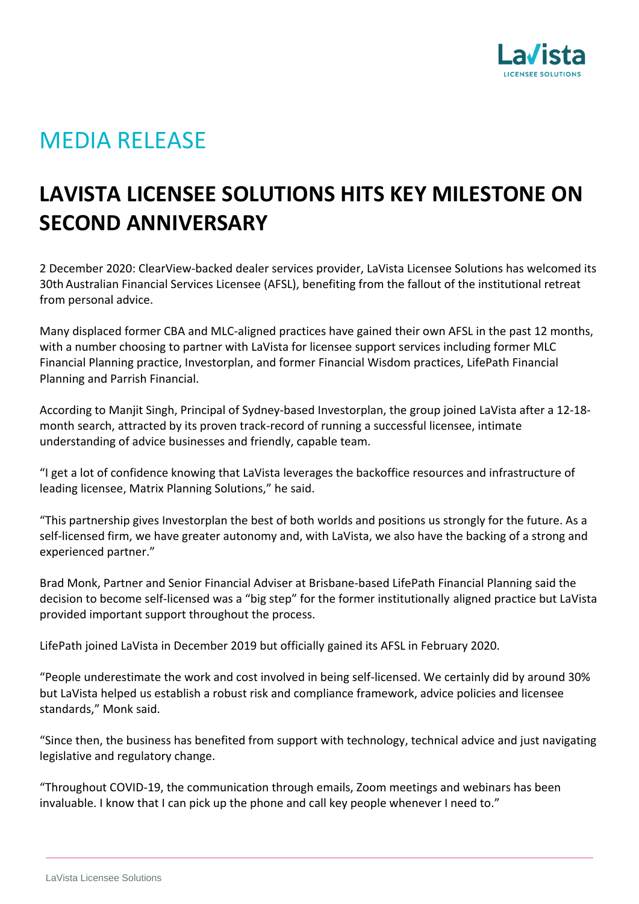

## MEDIA RELEASE

## **LAVISTA LICENSEE SOLUTIONS HITS KEY MILESTONE ON SECOND ANNIVERSARY**

2 December 2020: ClearView-backed dealer services provider, LaVista Licensee Solutions has welcomed its 30th Australian Financial Services Licensee (AFSL), benefiting from the fallout of the institutional retreat from personal advice.

Many displaced former CBA and MLC-aligned practices have gained their own AFSL in the past 12 months, with a number choosing to partner with LaVista for licensee support services including former MLC Financial Planning practice, Investorplan, and former Financial Wisdom practices, LifePath Financial Planning and Parrish Financial.

According to Manjit Singh, Principal of Sydney-based Investorplan, the group joined LaVista after a 12-18 month search, attracted by its proven track-record of running a successful licensee, intimate understanding of advice businesses and friendly, capable team.

"I get a lot of confidence knowing that LaVista leverages the backoffice resources and infrastructure of leading licensee, Matrix Planning Solutions," he said.

"This partnership gives Investorplan the best of both worlds and positions us strongly for the future. As a self-licensed firm, we have greater autonomy and, with LaVista, we also have the backing of a strong and experienced partner."

Brad Monk, Partner and Senior Financial Adviser at Brisbane-based LifePath Financial Planning said the decision to become self-licensed was a "big step" for the former institutionally aligned practice but LaVista provided important support throughout the process.

LifePath joined LaVista in December 2019 but officially gained its AFSL in February 2020.

"People underestimate the work and cost involved in being self-licensed. We certainly did by around 30% but LaVista helped us establish a robust risk and compliance framework, advice policies and licensee standards," Monk said.

"Since then, the business has benefited from support with technology, technical advice and just navigating legislative and regulatory change.

"Throughout COVID-19, the communication through emails, Zoom meetings and webinars has been invaluable. I know that I can pick up the phone and call key people whenever I need to."